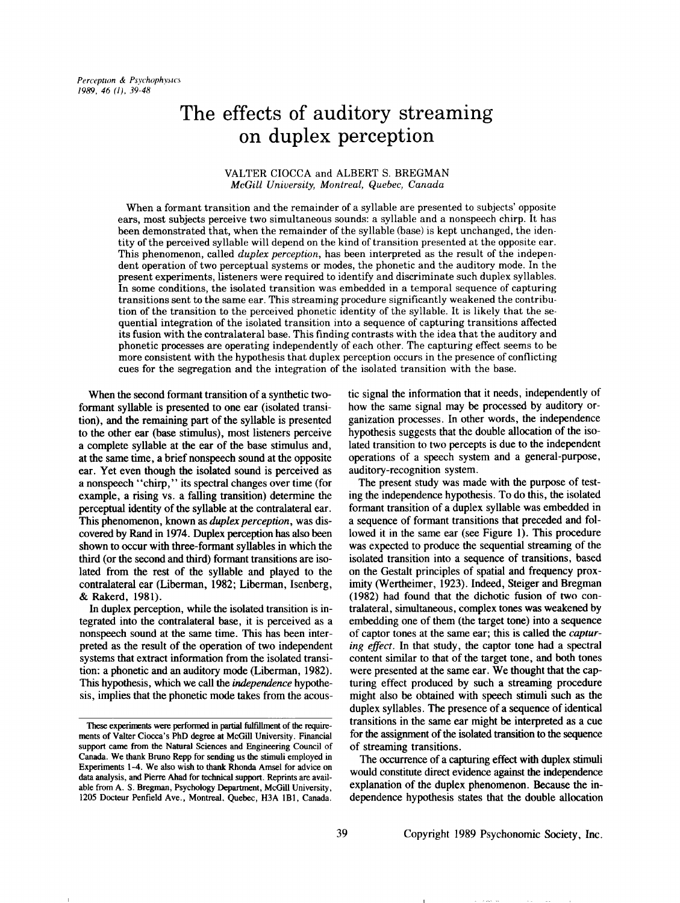# **The effects of auditory streaming on duplex perception**

## VALTER CIOCCA and ALBERT S. BREGMAN *McGill University, Montreal, Quebec, Canada*

When a formant transition and the remainder of a syllable are presented to subjects' opposite ears, most subjects perceive two simultaneous sounds: a syllable and a nonspeech chirp. It has been demonstrated that, when the remainder of the syllable (base) is kept unchanged, the identity of the perceived syllable will depend on the kind of transition presented at the opposite ear. This phenomenon, called *duplex perception,* has been interpreted as the result of the independent operation of two perceptual systems or modes, the phonetic and the auditory mode. In the present experiments, listeners were required to identify and discriminate such duplex syllables. In some conditions, the isolated transition was embedded in a temporal sequence of capturing transitions sent to the same ear. This streaming procedure significantly weakened the contribution of the transition to the perceived phonetic identity of the syllable. It is likely that the sequential integration of the isolated transition into a sequence of capturing transitions affected its fusion with the contralateral base. This finding contrasts with the idea that the auditory and phonetic processes are operating independently of each other. The capturing effect seems to be more consistent with the hypothesis that duplex perception occurs in the presence of conflicting cues for the segregation and the integration of the isolated transition with the base.

When the second formant transition of a synthetic twoformant syllable is presented to one ear (isolated transition), and the remaining part of the syllable is presented to the other ear (base stimulus), most listeners perceive a complete syllable at the ear of the base stimulus and, at the same time, a brief nonspeech sound at the opposite ear. Yet even though the isolated sound is perceived as a nonspeech "chirp," its spectral changes over time (for example, a rising vs. a falling transition) determine the perceptual identity of the syllable at the contralateral ear. This phenomenon, known as *duplex perception,* was discovered by Rand in 1974. Duplex perception has also been shown to occur with three-formant syllables in which the third (or the second and third) formant transitions are isolated from the rest of the syllable and played to the contralateral ear (Liberman, 1982; Liberman, Isenberg, & Rakerd, 1981).

In duplex perception, while the isolated transition is integrated into the contralateral base, it is perceived as a nonspeech sound at the same time. This has been interpreted as the result of the operation of two independent systems that extract information from the isolated transition: a phonetic and an auditory mode (Liberman, 1982). This hypothesis, which we call the *independence* hypothesis, implies that the phonetic mode takes from the acoustic signal the information that it needs, independently of how the same signal may be processed by auditory organization processes. In other words, the independence hypothesis suggests that the double allocation of the isolated transition to two percepts is due to the independent operations of a speech system and a general-purpose, auditory-recognition system.

The present study was made with the purpose of testing the independence hypothesis. To do this, the isolated formant transition of a duplex syllable was embedded in a sequence of formant transitions that preceded and followed it in the same ear (see Figure 1). This procedure was expected to produce the sequential streaming of the isolated transition into a sequence of transitions, based on the Gestalt principles of spatial and frequency proximity (Wertheimer, 1923). Indeed, Steiger and Bregman (1982) had found that the dichotic fusion of two contralateral, simultaneous, complex tones was weakened by embedding one of them (the target tone) into a sequence of captor tones at the same ear; this is called the *capturing effect. In* that study, the captor tone had a spectral content similar to that of the target tone, and both tones were presented at the same ear. We thought that the capturing effect produced by such a streaming procedure might also be obtained with speech stimuli such as the duplex syllables. The presence of a sequence of identical transitions in the same ear might be interpreted as a cue for the assignment of the isolated transition to the sequence of streaming transitions.

The occurrence of a capturing effect with duplex stimuli would constitute direct evidence against the independence explanation of the duplex phenomenon. Because the independence hypothesis states that the double allocation

These experiments were performed in partial fulfillment of the requirements of Valter Ciocca's PhD degree at McGill University. Financial support came from the Natural Sciences and Engineering Council of Canada. We thank Bruno Repp for sending us the stimuli employed in Experiments 1-4. We also wish to thank Rhonda Amsel for advice on data analysis, and Pierre Ahad for technical support. Reprints are available from A. S. Bregman, Psychology Department, McGill University, 1205 Docteur Penfield Ave., Montreal, Quebec, H3A 1B1, Canada.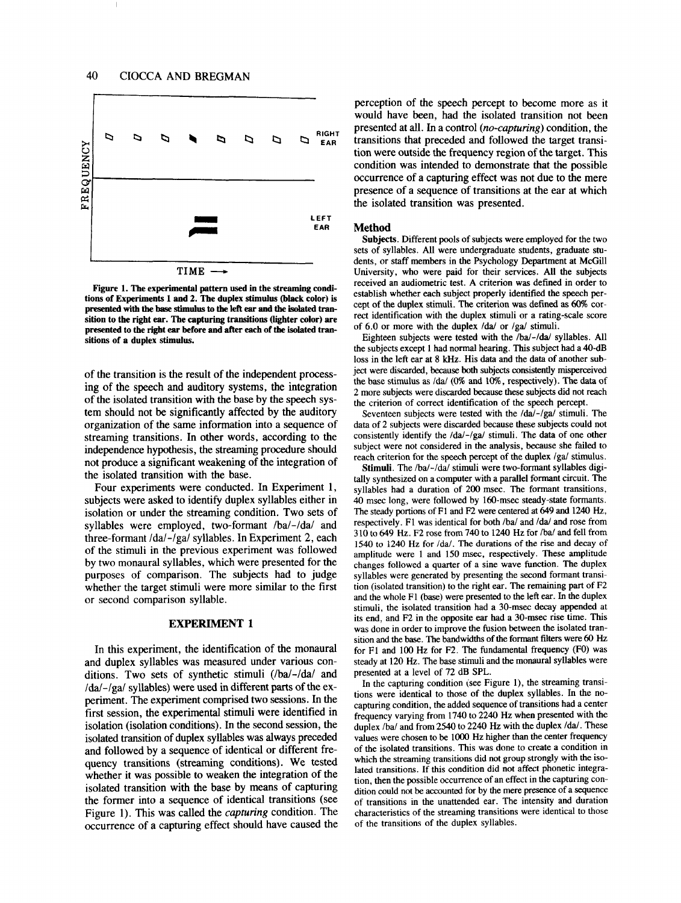

**Figure 1. The experimental pattern used in the streaming conditions of Experiments 1 and 2. The duplex stimulus (black color) is presented with the base stimulus to the left ear and the isolated transition to the right ear. The capturing transitions (lighter color) are presented to the right ear before and after each of the isolated transitious of a duplex stimulus.**

of the transition is the result of the independent processing of the speech and auditory systems, the integration of the isolated transition with the base by the speech system should not be significantly affected by the auditory organization of the same information into a sequence of streaming transitions. In other words, according to the independence hypothesis, the streaming procedure should not produce a significant weakening of the integration of the isolated transition with the base.

Four experiments were conducted. In Experiment 1, subjects were asked to identify duplex syllables either in isolation or under the streaming condition. Two sets of syllables were employed, two-formant /ba/-/da/ and three-formant /da/-/ga/ syllables. In Experiment 2, each of the stimuli in the previous experiment was followed by two monaural syllables, which were presented for the purposes of comparison. The subjects had to judge whether the target stimuli were more similar to the first or second comparison syllable.

## **EXPERIMENT 1**

In this experiment, the identification of the monaural and duplex syllables was measured under various conditions. Two sets of synthetic stimuli (/ba/-/da/ and /da/-/ga/syllables) were used in different parts of the experiment. The experiment comprised two sessions. In the first session, the experimental stimuli were identified in isolation (isolation conditions). In the second session, the isolated transition of duplex syllables was always preceded and followed by a sequence of identical or different frequency transitions (streaming conditions). We tested whether it was possible to weaken the integration of the isolated transition with the base by means of capturing the former into a sequence of identical transitions (see Figure 1). This was called the *capturing* condition. The occurrence of a capturing effect should have caused the

perception of the speech percept to become more as it would have been, had the isolated transition not been presented at all. In a control *(no-capturing)* condition, the transitions that preceded and followed the target transition were outside the frequency region of the target. This condition was intended to demonstrate that the possible occurrence of a capturing effect was not due to the mere presence of a sequence of transitions at the ear at which the isolated transition was presented.

# **Method**

**Subjects.** Different pools of subjects were employed for the two sets of syllables. All were undergraduate students, graduate students, or staff members in the Psychology Department at McGill University, who were paid for their services. All the subjects received an audiometric **test.** A criterion was defined in order to establish whether each subject properly identified the speech percept of the duplex stimuli. The criterion was defined as 60% correct identification with the duplex stimuli or a rating-scale score of 6.0 or more with the duplex/da/or/ga/stimuli.

Eighteen subjects were tested with the /ba/-/da/ syllables. All the subjects except I had normal hearing. This subject had a 40-dB loss in the left ear at 8 kHz. His data and the data of another subject were discarded, because both subjects consistently misperceived the base stimulus as/da/(0% and 10%, respectively). The data of 2 more subjects were discarded because these subjects did not reach the criterion of correct identification of the speech percept.

Seventeen subjects were tested with the /da/-/ga/ stimuli. The data of 2 subjects were discarded because these subjects could not consistently identify the /da/-/ga/ stimuli. The data of one other subject were not considered in the analysis, because she failed to reach criterion for the speech percept of the duplex /ga/ stimulus.

Stimuli. The /ba/-/da/ stimuli were two-formant syllables digitally synthesized on a computer with a parallel formant circuit. The syllables had a duration of 200 msec. The formant transitions, 40 msec long, were followed by 160-msec steady-state formants. The steady portions of F1 and F2 were centered at 649 and 1240 Hz, respectively. F1 was identical for both /ba/ and /da/ and rose from 310 to 649 Hz. F2 rose from 740 to 1240 Hz for/ba/and fell from 1540 to 1240 Hz for /da/. The durations of the rise and decay of amplitude were 1 and 150 msec, respectively. These amplitude changes followed a quarter of a sine wave function. The duplex syllables were generated by presenting the second formant transition (isolated transition) to the right ear. The remaining part of F2 and the whole  $F1$  (base) were presented to the left ear. In the duplex stimuli, the isolated transition had a 30-msec decay appended at its end, and F2 in the opposite ear had a 30-msec rise time. This was done in order to improve the fusion between the isolated transition and the base. The bandwidths of the formant filters were 60 Hz for F1 and 100 Hz for F2. The fundamental frequency (F0) was steady at 120 Hz. The base stimuli and the monaural syllables were presented at a level of 72 dB SPL.

In the capturing condition (see Figure 1), the streaming transitions were identical to those of the duplex syllables. In the nocapturing condition, the added sequence of transitions had a center frequency varying from 1740 to 2240 Hz when presented with the duplex /ba/ and from 2540 to 2240 Hz with the duplex /da/. These values were chosen to be 1000 Hz higher than the center frequency of the isolated transitions. This was done to create a condition in which the streaming transitions did not group strongly with the isolated transitions. If this condition did not affect phonetic integration, then the possible occurrence of an effect in the capturing condition could not be accounted for by the mere presence of a sequence of transitions in the unattended ear. The intensity and duration characteristics of the streaming transitions were identical to those of the transitions of the duplex syllables.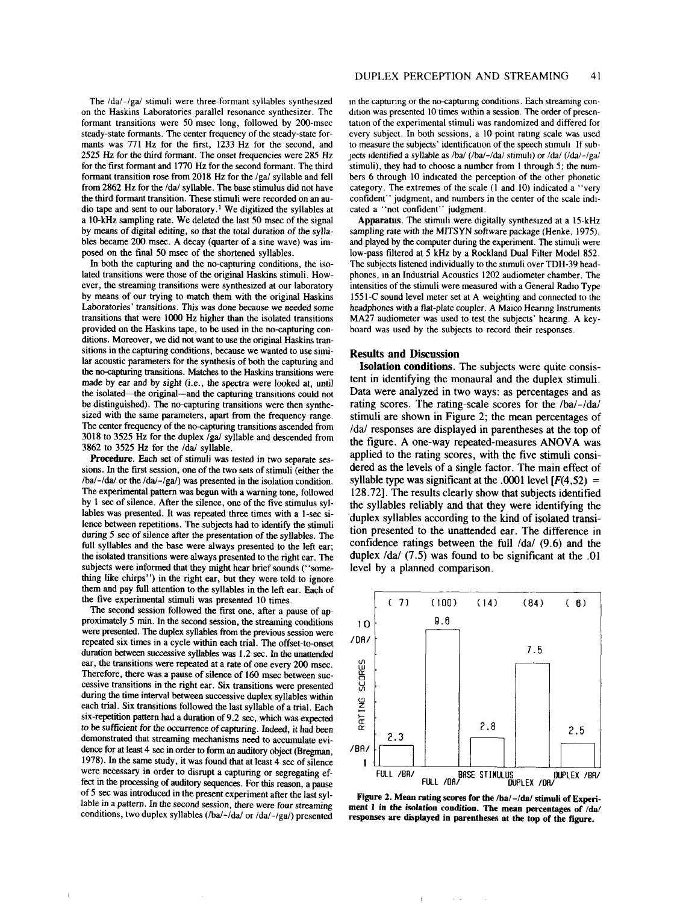The /da/-/ga/ stimuli were three-formant syllables synthesized on the Haskins Laboratories parallel resonance synthesizer. The formant transitions were 50 msec long, followed by 200-msec steady-state formants. The center frequency of the steady-state formants was 771 Hz for the first, 1233 Hz for the second, and 2525 Hz for the third formant. The onset frequencies were 285 Hz for the first formant and 1770 Hz for the second formant. The third formant transition rose from 2018 Hz for the /ga/ syllable and fell from 2862 Hz for the/da/syllable. The base stimulus did not have the third formant transition. These stimuli were recorded on an audio tape and sent to our laboratory.<sup>1</sup> We digitized the syllables at **a** 10-kHz sampling rate. We deleted the last 50 msec of the signal by means of digital editing, so that the total duration of the syllables became 200 msec. A decay (quarter of a sine wave) was imposed on the final 50 msec of the shortened syllables.

In both the capturing and the no-capturing conditions, the isolated transitions were those of the original Haskins stimuli. However, the streaming transitions were synthesized at our laboratory by means of our trying to match them with the original Haskins Laboratories' transitions. This was done because we needed some transitions that were 1000 Hz higher than the isolated transitions provided on the Haskins tape, to be used in the no-capturing conditions. Moreover, we did not want to use the original Haskins transitions in the capturing conditions, because we wanted to use similar acoustic parameters for the synthesis of both the capturing and the no-capturing transitions. Matches to the Haskins transitions were made by ear and by sight (i.e., the spectra were looked at, until the isolated--the original--and the capturing transitions could not be distinguished). The no-capturing transitions were then synthesized with the same parameters, apart from the frequency range. The center frequency of the no-capturing transitions ascended from 3018 to 3525 Hz for the duplex/ga/syllable and descended from 3862 to 3525 Hz for the/da/syllable.

Procedure. Each set of stimuli was tested in two separate sessions. In the first session, one of the two sets of stimuli (either the /ba/-/da/or the/da/-/ga/) was presented in the isolation condition. The experimental pattern was begun with a warning tone, followed by 1 sec of silence. After the silence, one of the five stimulus syllables was presented. It was repeated three times with a 1-sec silence between repetitions. The subjects had to identify the stimuli during 5 sec of silence after the presentation of the syllables. The full syllables and the base were always presented to the left ear; the isolated transitions were always presented to the right ear. The subjects were informed that they might hear brief sounds ("something like chirps") in the right ear, but they were told to ignore them and pay full attention to the syllables in the left ear. Each of the five experimental stimuli was presented 10 times.

The second session followed the first one, after a pause of approximately 5 min. In the second session, the streaming conditions were presented. The duplex syllables from the previous session were repeated six times in a cycle within each trial. The offset-to-onset duration between successive syllables was 1.2 sec. In the unattended ear, the transitions were repeated at a rate of one every 200 msec. Therefore, there was a pause of silence of 160 msec between successive transitions in the right ear. Six transitions were presented during the time interval between successive duplex syllables within each trial. Six transitions followed the last syllable of a trial. Each six-repetition pattern had a duration of 9.2 sec, which was expected to be sufficient for the occurrence of capturing. Indeed, it had been demonstrated that streaming mechanisms need to accumulate evidence for at least 4 sec in order to form an auditory object (Bregman, 1978). In the same study, it was found that at least 4 sec of silence were necessary in order to disrupt a capturing or segregating effect in the processing of auditory sequences. For this reason, a pause of 5 sec was introduced in the present experiment after the last syllable in a pattern. In the second session, there were *four* streaming conditions, two duplex syllables (/ba/-/da/ or /da/-/ga/) presented

 $\overline{\phantom{a}}$ 

in the capturing or the no-capturing conditions. Each streaming condition was presented 10 times within a session. The order of presentation of the experimental stimuli was randomized and differed for every subject. In both sessions, a 10-point rating scale was used to measure the subjects' identification of the speech stimuli If subjects identified a syllable as  $/ba//(ba/-/da/stimul)$  or  $/da//(da/-/ga/$ stimuli), they had to choose a number from 1 through 5; the numbers 6 through 10 indicated the perception of the other phonetic category. The extremes of the scale (1 and 10) indicated a "very confident" judgment, and numbers in the center of the scale indicated a "not confident" judgment.

Apparatus. The stimuli were digitally synthesized at a  $15-kHz$ sampling rate with the MITSYN software package (Henke, 1975), and played by the computer during the experiment. The stimuli were low-pass filtered at 5 kHz by a Rockland Dual Filter Model 852. The subjects listened individually to the stimuli over TDH-39 headphones, m an Industrial Acoustics 1202 audiometer chamber. The intensities of the stimuli were measured with a General Radio Type 1551-C sound level meter set at A weighting and connected to the headphones with a flat-plate coupler. A Maico Heanng Instruments MA27 audiometer was used to test the subjects' hearing. A keyboard was used by the subjects to record their responses.

## **Results and Discussion**

**Isolation conditions.** The subjects were quite consistent in identifying the monaural and the duplex stimuli. Data were analyzed in two ways: as percentages and as rating scores. The rating-scale scores for the/ba/-/da/ stimuli are shown in Figure 2; the mean percentages of /da/ responses are displayed in parentheses at the top of the figure. A one-way repeated-measures ANOVA was applied to the rating scores, with the five stimuli considered as the levels of a single factor. The main effect of syllable type was significant at the .0001 level  $[F(4,52) =$ 128.72]. The results clearly show that subjects identified the syllables reliably and that they were identifying the duplex syllables according to the kind of isolated transition presented to the unattended ear. The difference in confidence ratings between the full /da/ (9.6) and the duplex/da/(7.5) was found to be significant at the .01 level by a planned comparison.



Figure 2. Mean rating scores for the /ba/-/da/ stimuli of Experi**ment 1 in the isolation condition. The mean percentages of** *Idal* **responses are displayed in parentheses at the top of the figure.**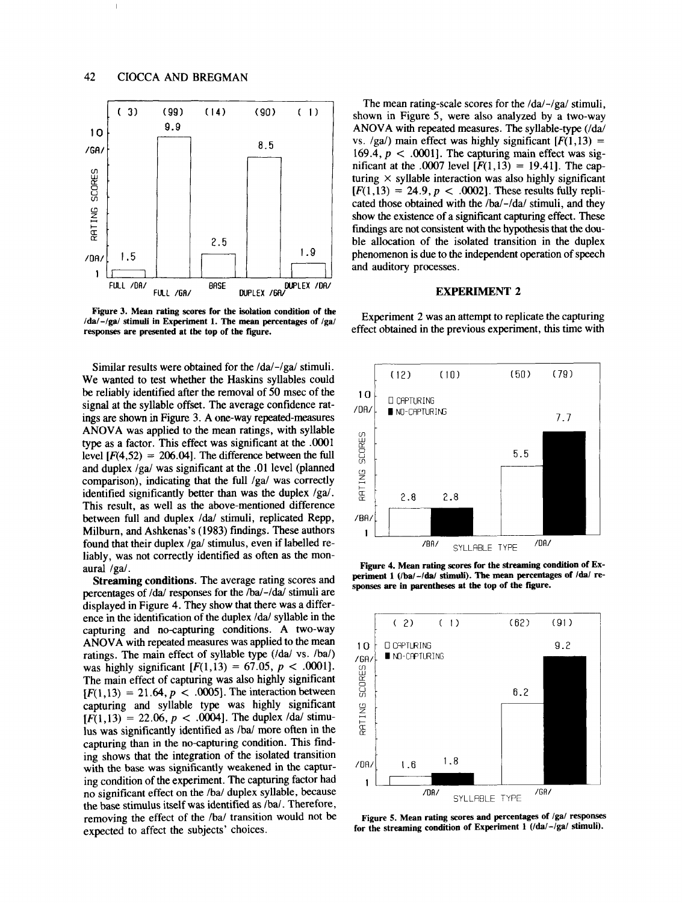$\mathbf{I}$ 



Figure 3. Mean rating scores **for the isolation condition of the** /da/-/ga/ stimuli in Experiment 1. The mean percentages of /ga/ responses **are presented at the top of the** figure.

Similar results were obtained for the  $\frac{da}{\frac{q}{2}}$  stimuli. We wanted to test whether the Haskins syllables could be reliably identified after the removal of 50 msec of the signal at the syllable offset. The average confidence ratings are shown in Figure 3. A one-way repeated-measures ANOVA was applied to the mean ratings, with syllable type as a factor. This effect was significant at the .0001 level  $[F(4.52) = 206.04]$ . The difference between the full and duplex/ga/was significant at the .01 level (planned comparison), indicating that the full/ga/was correctly identified significantly better than was the duplex/ga/. This result, as well as the above-mentioned difference between full and duplex/da/ stimuli, replicated Repp, Milburn, and Ashkenas's (1983) findings. These authors found that their duplex/ga/stimulus, even if labelled reliably, was not correctly identified as often as the monaural  $/ga$ .

**Streaming conditions.** The average rating scores and percentages of /da/ responses for the /ba/-/da/ stimuli are displayed in Figure 4. They show that there was a difference in the identification of the duplex/da/syllable in the capturing and no-capturing conditions. A two-way ANOVA with repeated measures was applied to the mean ratings. The main effect of syllable type (/da/vs. /ba/) was highly significant  $[F(1,13) = 67.05, p < .0001]$ . The main effect of capturing was also highly significant  $[F(1,13) = 21.64, p < .0005]$ . The interaction between capturing and syllable type was highly significant  $[F(1,13) = 22.06, p < .0004]$ . The duplex /da/ stimulus was significantly identified as/ba/more often in the capturing than in the no-capturing condition. This finding shows that the integration of the isolated transition with the base was significantly weakened in the capturing condition of the experiment. The capturing factor had no significant effect on the/ba/duplex syllable, because the base stimulus itself was identified as/ba/. Therefore, removing the effect of the /ba/ transition would not be expected to affect the subjects' choices.

The mean rating-scale scores for the  $\frac{d\mathbf{a}}{-\frac{\mathbf{g}}{2}}$  stimuli, shown in Figure 5, were also analyzed by a two-way ANOVA with repeated measures. The syllable-type (/da/ vs. /ga/) main effect was highly significant  $[F(1, 13) =$ 169.4,  $p < .0001$ . The capturing main effect was significant at the .0007 level  $[F(1,13) = 19.41]$ . The capturing  $\times$  syllable interaction was also highly significant  $[F(1,13) = 24.9, p < .0002]$ . These results fully replicated those obtained with the /ba/-/da/ stimuli, and they show the existence of a significant capturing effect. These findings are not consistent with the hypothesis that the double allocation of the isolated transition in the duplex phenomenon is due to the independent operation of speech and auditory processes.

#### EXPERIMENT 2

Experiment 2 was an attempt to replicate the capturing effect obtained in the previous experiment, this time with



Figure 4. Mean rating **scores for the streaming condition of** Experiment 1 (/ba/-/da/ stimuli). The mean percentages of /da/ responses **are in parentheses at the top of the** figure.



Figure 5. Mean rating **scores and percentages of/ga/responses for the streaming condition of** Experiment 1 *(Idal-lga/stimuli).*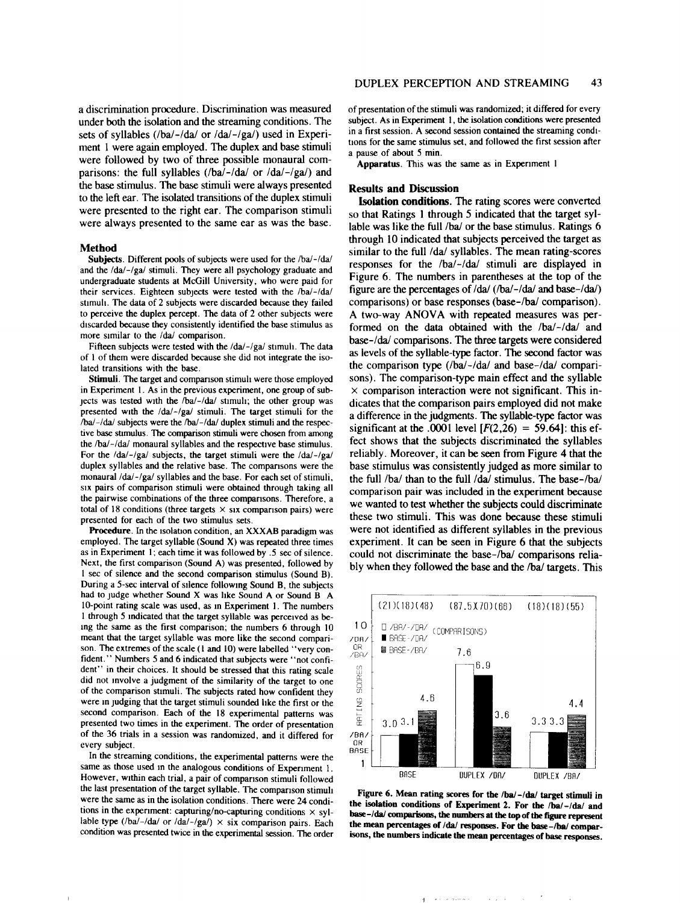a discrimination procedure. Discrimination was measured under both the isolation and the streaming conditions. The sets of syllables  $(|ba/-/da/$  or  $|da/-/ga|)$  used in Experiment 1 were again employed. The duplex and base stimuli were followed by two of three possible monaural comparisons: the full syllables  $(\frac{h}{d})$ -/da/or/da/-/ga/) and the base stimulus. The base stimuli were always presented to the left ear. The isolated transitions of the duplex stimuli were presented to the right ear. The comparison stimuli were always presented to the same ear as was the base.

#### **Method**

Subjects. Different pools of subjects were used for the /ba/-/da/ and the /da/-/ga/ stimuli. They were all psychology graduate and undergraduate students at McGiil University, who were paid for their services. Eighteen subjects were tested with the /ba/-/da/ stimuli. The data of 2 subjects were discarded because they failed to perceive the duplex percept. The data of 2 other subjects were discarded because they consistently identified the base stimulus as more similar to the /da/ comparison.

Fifteen subjects were tested with the  $/da/$ -/ga/stimuh. The data of 1 of them were discarded because she did not integrate the isolated transitions with the base.

Stimuli. The target and comparison stimuh were those employed in Experiment 1. As in the previous experiment, one group of subjects was tested with the  $/ba/-/da/$  stimuh; the other group was presented with the  $/da/$ -/ga/ stimuli. The target stimuli for the /ba/-/da/ subjects were the /ba/-/da/ duplex stimuli and the respective base stimulus. The comparison stimuli were chosen from among the /ba/-/da/ monaural syllables and the respective base stimulus. For the /da/-/ga/ subjects, the target stimuli were the /da/-/ga/ duplex syllables and the relative base. The comparisons were the monaural /da/-/ga/ syllables and the base. For each set of stimuli, six pairs of comparison stimuli were obtained through taking all the pairwise combinations of the three comparisons. Therefore, a total of 18 conditions (three targets  $\times$  six comparison pairs) were presented for each of the two stimulus sets.

Procedure. In the isolation condition, an XXXAB paradigm was employed. The target syllable (Sound X) was repeated three times as in Experiment l; each time it was followed by .5 sec of silence. Next, the first comparison (Sound A) was presented, followed by l sec of silence and the second comparison stimulus (Sound B). During a 5-sec interval of sdence following Sound B, the subjects had to judge whether Sound X was like Sound A or Sound B A 10-point rating scale was used, as m Experiment I. The numbers l through 5 indicated that the target syllable was perceived as bemg the same as the first comparison; the numbers 6 through l0 meant that the target syllable was more like the second comparison. The extremes of the scale (l and 10) were labelled "very confident." Numbers 5 and 6 indicated that subjects were "not confident" in their choices. It should be stressed that this rating scale did not involve a judgment of the similarity of the target to one of the comparison stimuli. The subjects rated how confident they were in judging that the target stimuli sounded hke the first or the second comparison. Each of the 18 experimental patterns was presented two times in the experiment. The order of presentation of the 36 trials in a session was randomized, and it differed for every subject.

In the streaming conditions, the experimental patterns were the same as those used m the analogous conditions of Experiment 1. However, within each trial, a pair of comparison stimuli followed the last presentation of the target syllable. The comparison stimuh were the same as in the isolation conditions. There were 24 conditions in the experiment: capturing/no-capturing conditions  $\times$  syllable type  $(\frac{h}{a}$ -/da/ or /da/-/ga/)  $\times$  six comparison pairs. Each condition was presented twice in the experimental session. The order

of presentation of the stimuli was randomized; it differed for every subject. As in Experiment 1, the isolation conditions were presented in a first session. A second session contained the streaming conditions for the same stimulus set, and followed the first session after a pause of about 5 min.

Apparatus. This was the same as in Experiment 1

#### **Results and Discussion**

Isolation conditions. The rating scores were converted so that Ratings 1 through 5 indicated that the target syllable was like the full  $/ba/$  or the base stimulus. Ratings  $6$ through 10 indicated that subjects perceived the target as similar to the full /da/ syllables. The mean rating-scores responses for the /ba/-/da/ stimuli are displayed in Figure 6. The numbers in parentheses at the top of the figure are the percentages of  $\frac{d}{da}$  ( $\frac{d}{da}$  - $\frac{da}{da}$  and base- $\frac{da}{b}$ ) comparisons) or base responses (base-/ba/comparison). A two-way ANOVA with repeated measures was performed on the data obtained with the /ba/-/da/ and base-/da/comparisons. The three targets were considered as levels of the syllable-type factor. The second factor was the comparison type (/ba/-/da/ and base-/da/ comparisons). The comparison-type main effect and the syllable  $\times$  comparison interaction were not significant. This indicates that the comparison pairs employed did not make a difference in the judgments. The syllable-type factor was significant at the .0001 level  $[F(2,26) = 59.64]$ : this effect shows that the subjects discriminated the syllables reliably. Moreover, it can be seen from Figure 4 that the base stimulus was consistently judged as more similar to the full/ba/than to the full/da/stimulus. The base-/ba/ comparison pair was included in the experiment because we wanted to test whether the subjects could discriminate these two stimuli. This was done because these stimuli were not identified as different syllables in the previous experiment. It can be seen in Figure 6 that the subjects could not discriminate the base-/ba/comparisons reliably when they followed the base and the /ba/ targets. This



**Figure 6. Mean rating scores for the Iba/-Ida/target stimuli in the isolation conditions of Experiment 2. For the/ba/-/da/ and base -/da/comparisons, the numbers at the top of the figure represent** the mean percentages of /da/ responses. For the base-/ba/ compar**isons, the numbers indicate the mean percentages of base responses.**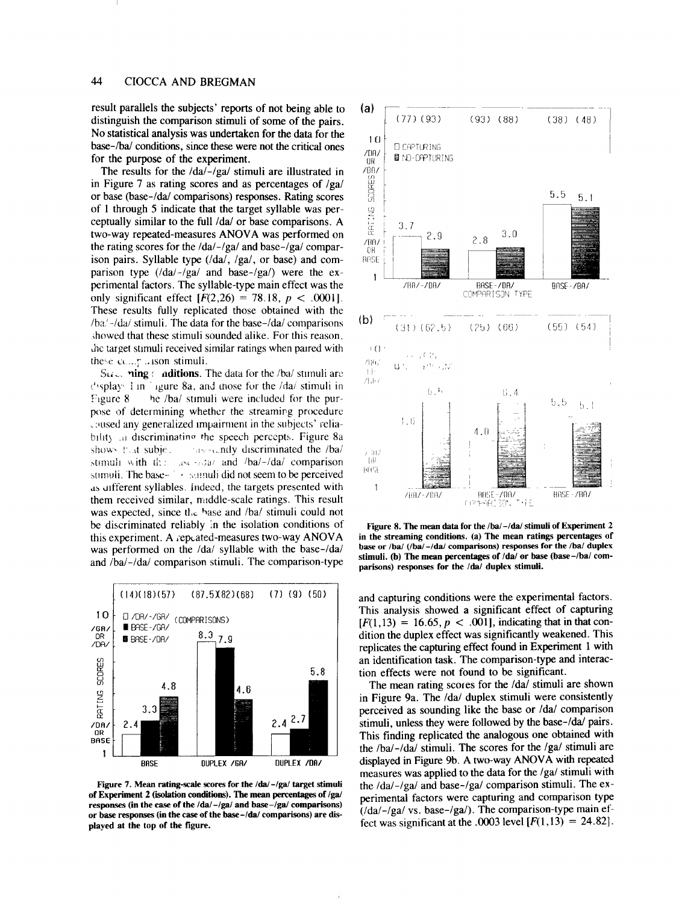## 44 CIOCCA AND BREGMAN

result parallels the subjects' reports of not being able to distinguish the comparison stimuli of some of the pairs. **No** statistical analysis was undertaken for the data for the base-/ba/ conditions, since these were not the critical ones for the purpose of the experiment.

The results for the  $\frac{d\mathbf{a}}{-\frac{\mathbf{g}}{2}}$  stimuli are illustrated in in Figure 7 as rating scores and as percentages of  $\sqrt{ga}$ or base (base-/da/comparisons) responses. Rating scores of 1 through 5 indicate that the target syllable was perceptually similar to the full/da/or base comparisons. A two-way repeated-measures ANOVA was performed on the rating scores for the  $\frac{da}{-}\frac{g}{g}$  and base- $\frac{g}{g}$  comparison pairs. Syllable type  $(d\alpha/$ ,  $/g\alpha/$ , or base) and comparison type  $((da/-/ga/$  and base- $(ga)$  were the experimental factors. The syllable-type main effect was the only significant effect  $[F(2,26) = 78.18, p < .0001]$ . These results fully replicated those obtained with the  $/ba/-/da/$  stimuli. The data for the base- $/da/$  comparisons showed that these stimuli sounded alike. For this reason, the target stimuli received similar ratings when paired with these comparison stimuli.

 $S_{11}$ ... "ring: aditions. The data for the /ba/ stimuli are  $\text{C-splay}$  1 m = igure 8a, and mose for the /da/ stimuli in Figure 8 he/ba/ stimuli were included for the purpose of determining whether the streaming procedure  $\alpha$  aused any generalized impairment in the subjects' reliability an discriminatino the speech percepts. Figure 8a shows that subject a constrained the  $/ba/$ show, ndy discriminated the /ba/ stimuli with the six -1,3a/ and /ba/-/da/ comparison sumuli. The base- $\frac{1}{x}$  is seem to be perceived as ufferent syllables. Indeed, the targets presented with them received similar, m:ddle-scale ratings. This result was expected, since the base and /ba/ stimuli could not be discriminated reliably in the isolation conditions of this experiment. A repeated-measures two-way ANOVA was performed on the /da/ syllable with the base-/da/ and /ba/-/da/ comparison stimuli. The comparison-type



**Figure 7. Mean rating-scale scores for the**  $\frac{1}{da}$  **-/ga/target stimuli** of Experiment 2 (isolation conditions). The mean percentages of  $Iga/$ **responses (in the case of the Ida/-Igal and base-/ga/comparisons) or base responses (in the case of the base-/da/comparisons) are displayed at the top of the figure.**



**Figure 8. The mean data for the /ba/-/da/ stimuli of Experiment 2 in the streaming conditions. (a) The mean ratings percentages of base or/ba/(/ba/-/da/comparisons) responses for the/ba/duplex** stimuli. (b) The mean percentages of /da/ or base (base-/ba/ com**parisons) responses for the/da/ duplex stimuli.**

and capturing conditions were the experimental factors. This analysis showed a significant effect of capturing  $[F(1,13) = 16.65, p < .001]$ , indicating that in that condition the duplex effect was significantly weakened. This replicates the capturing effect found in Experiment 1 with an identification task. The comparison-type and interaction effects were not found to be significant.

The mean rating scores for the /da/ stimuli are shown in Figure 9a. The /da/ duplex stimuli were consistently perceived as sounding like the base or /da/ comparison stimuli, unless they were followed by the base-/da/ pairs. This finding replicated the analogous one obtained with the /ba/-/da/ stimuli. The scores for the /ga/ stimuli are displayed in Figure 9b. A two-way ANOVA with repeated measures was applied to the data for the/ga/stimuli with the  $\frac{da}{-\gamma ga}$  and base- $\frac{g}{\gamma ga}$  comparison stimuli. The experimental factors were capturing and comparison type (/da/-/ga/vs. *base-/ga/).* The comparison-type main effect was significant at the .0003 level  $[F(1,13) = 24.82]$ .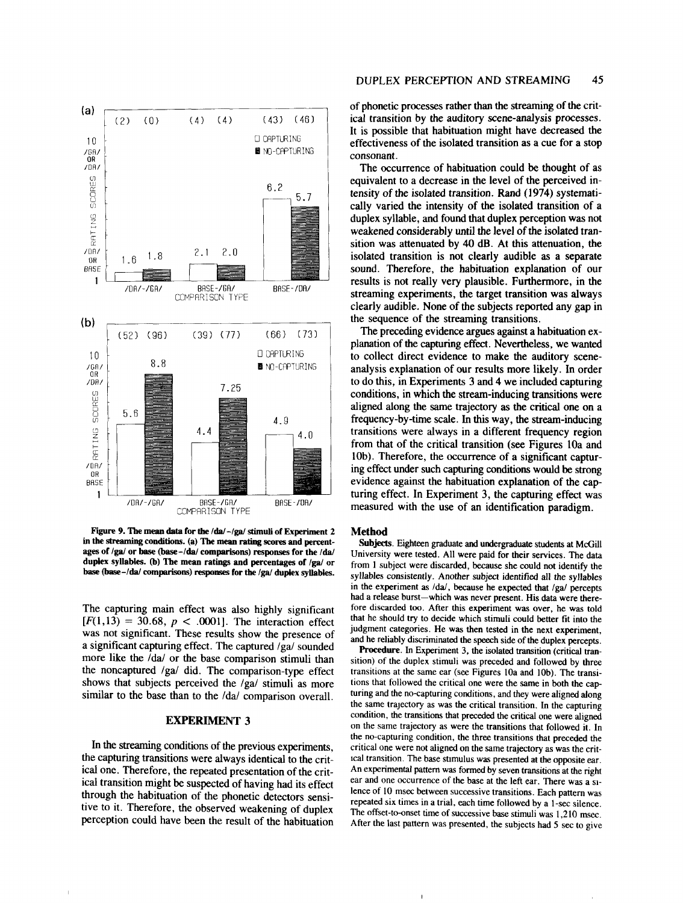

Figure 9. The mean data for the /da/-/ga/ stimuli of Experiment 2 in the streaming conditions. (a) The mean rating **scores and** percentages of/ga/or base (base-/da/comparisons) **responses for the/da/** duplex syllables. (b) The mean ratings and percentages of /ga/ or base (base-/da/ comparisons) responses for the /ga/ duplex syllables.

The capturing main effect was also highly significant  $[F(1,13) = 30.68, p < .0001]$ . The interaction effect was not significant. These results show the presence of a significant capturing effect. The captured/ga/sounded more like the /da/ or the base comparison stimuli than the noncaptured /ga/ did. The comparison-type effect shows that subjects perceived the/ga/ stimuli as more similar to the base than to the /da/ comparison overall.

# EXPERIMENT 3

In the streaming conditions of the previous experiments, the capturing transitions were always identical to the critical one. Therefore, the repeated presentation of the critical transition might be suspected of having had its effect through the habituation of the phonetic detectors sensitive to it. Therefore, the observed weakening of duplex perception could have been the result of the habituation

of phonetic processes rather than the streaming of the critical transition by the auditory scene-analysis processes. It is possible that habituation might have decreased the effectiveness of the isolated transition as a cue for a stop consonant.

The occurrence of habituation could be thought of as equivalent to a decrease in the level of the perceived intensity of the isolated transition. Rand (1974) systematically varied the intensity of the isolated transition of a duplex syllable, and found that duplex perception was not weakened considerably until the level of the isolated transition was attenuated by 40 dB. At this attenuation, the isolated transition is not clearly audible as a separate sound. Therefore, the habituation explanation of our results is not really very plausible. Furthermore, in the streaming experiments, the target transition was always clearly audible. None of the subjects reported any gap in the sequence of the streaming transitions.

The preceding evidence argues against a habituation explanation of the capturing effect. Nevertheless, we wanted to collect direct evidence to make the auditory sceneanalysis explanation of our results more likely. In order to do this, in Experiments 3 and 4 we included capturing conditions, in which the stream-inducing transitions were aligned along the same trajectory as the critical one on a frequency-by-time scale. In this way, the stream-inducing transitions were always in a different frequency region from that of the critical transition (see Figures 10a and 10b). Therefore, the occurrence of a significant capturing effect under such capturing conditions would be strong evidence against the habituation explanation of the capturing effect. In Experiment 3, the capturing effect was measured with the use of an identification paradigm.

### Method

Subjects. Eighteen graduate and undergraduate students at McGill University were tested. All were paid for their services. The data from 1 subject were discarded, because she could not identify the syllables consistently. Another subject identified all the syllables in the experiment as  $\frac{d}{dx}$ , because he expected that  $\frac{d}{dx}$  percepts had a release burst-which was never present. His data were therefore discarded too. After this experiment was over, he was told that he should try to decide which stimuli could better fit into the judgment categories. He was then tested in the next experiment, and he reliably discriminated the speech side of the duplex percepts.

Procedure. In Experiment 3, the isolated transition (critical transition) of the duplex stimuli was preceded and followed by three transitions at the same ear (see Figures 10a and 10b). The transitions that followed the critical one were the same in both the capturing and the no-capturing conditions, and they were aligned along the same trajectory as was the critical transition. In the capturing condition, the transitions that preceded the critical one were aligned on the same trajectory as were the transitions that followed it. In the no-capturing condition, the three transitions that preceded the critical one were not aligned on the same trajectory as was the critical transition. The base stimulus was presented at the opposite ear. An experimental pattern was formed by seven transitions at the right ear and one occurrence of the base at the left ear. There was a silence of 10 msec between successive transitions. Each pattern was repeated six times in a trial, each time followed by a 1-sec silence. The offset-to-onset time of successive base stimuli was 1,210 msec. After the last pattern was presented, the subjects had 5 sec to give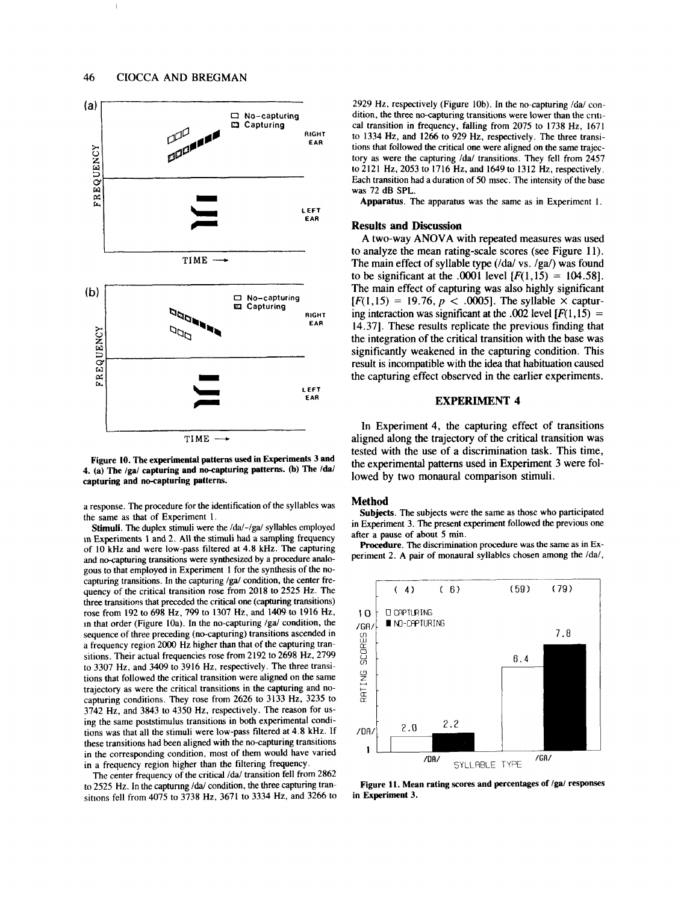$\overline{1}$ 



**Figure 10. The experimental patterns used in Experiments 3 and 4. (a) The/ga/capturing and no-capturing patterns. (b) The/da/ capturing and no-capturing patterns.**

a response. The procedure for the identification of the syllables was the same as that of Experiment 1.

Stimuli. The duplex stimuli were the /da/-/ga/ syllables employed m Experiments 1 and 2. All the stimuli had a sampling frequency of 10 kHz and were low-pass filtered at 4.8 kHz. The capturing and no-capturing transitions were synthesized by a procedure analogous to that employed in Experiment 1 for the synthesis of the nocapturing transitions. In the capturing /ga/ condition, the center frequency of the critical transition rose from 2018 to 2525 Hz. The three transitions that preceded the critical one (capturing transitions) rose from 192 to 698 Hz, 799 to 1307 Hz, and 1409 to 1916 Hz, in that order (Figure 10a). In the no-capturing/ga/condition, the sequence of three preceding (no-capturing) transitions ascended in a frequency region 2000 Hz higher than that of the capturing transitions. Their actual frequencies rose from 2192 to 2698 Hz, 2799 to 3307 Hz, and 3409 to 3916 Hz, respectively. The three transitions that followed the critical transition were aligned on the same trajectory as were the critical transitions in the capturing and nocapturing conditions. They rose from 2626 to 3133 Hz, 3235 to 3742 Hz, and 3843 to 4350 Hz, respectively. The reason for using the same poststimulus transitions in both experimental conditions was that all the stimuli were low-pass filtered at 4.8 kHz. If these transitions had been aligned with the no-capturing transitions in the corresponding condition, most of them would have varied in a frequency region higher than the filtering frequency.

The center frequency of the critical /da/ transition fell from 2862 to 2525 Hz. In the capturing /da/ condition, the three capturing transitions fell from 4075 to 3738 Hz, 3671 to 3334 Hz, and 3266 to

2929 Hz, respectively (Figure 10b). In the no-capturing/da/condition, the three no-capturing transitions were lower than the critical transition in frequency, falling from 2075 to 1738 Hz, 1671 to 1334 Hz, and 1266 to 929 Hz, respectively. The three transitions that followed the critical one were aligned on the same trajectory as were the capturing /da/ transitions. They fell from 2457 to 2121 Hz, 2053 to 1716 Hz, and 16~9 to 1312 Hz, respectively. Each transition had a duration of 50 msec. The intensity of the base was 72 dB SPL.

Apparatus. The apparatus was the same as in Experiment 1.

#### **Results and Discussion**

A two-way ANOVA with repeated measures was used to analyze the mean rating-scale scores (see Figure 11). The main effect of syllable type (/da/ vs. /ga/) was found to be significant at the .0001 level  $[F(1, 15) = 104.58]$ . The main effect of capturing was also highly significant  $[F(1,15) = 19.76, p < .0005]$ . The syllable  $\times$  capturing interaction was significant at the .002 level  $[F(1,15) =$ 14.37]. These results replicate the previous finding that the integration of the critical transition with the base was significantly weakened in the capturing condition. This result is incompatible with the idea that habituation caused the capturing effect observed in the earlier experiments.

## **EXPERIMENT 4**

In Experiment 4, the capturing effect of transitions aligned along the trajectory of the critical transition was tested with the use of a discrimination task. This time, the experimental patterns used in Experiment 3 were followed by two monaural comparison stimuli.

#### **Method**

Subjects. The subjects were the same as those who participated in Experiment 3. The present experiment followed the previous one after a pause of about 5 min.

Procedure. The discrimination procedure was the same as in Experiment 2. A pair of monaural syllables chosen among the /da/,



**Figure 11. Mean rating scores and percentages of** *Iga/responses* **in Experiment 3.**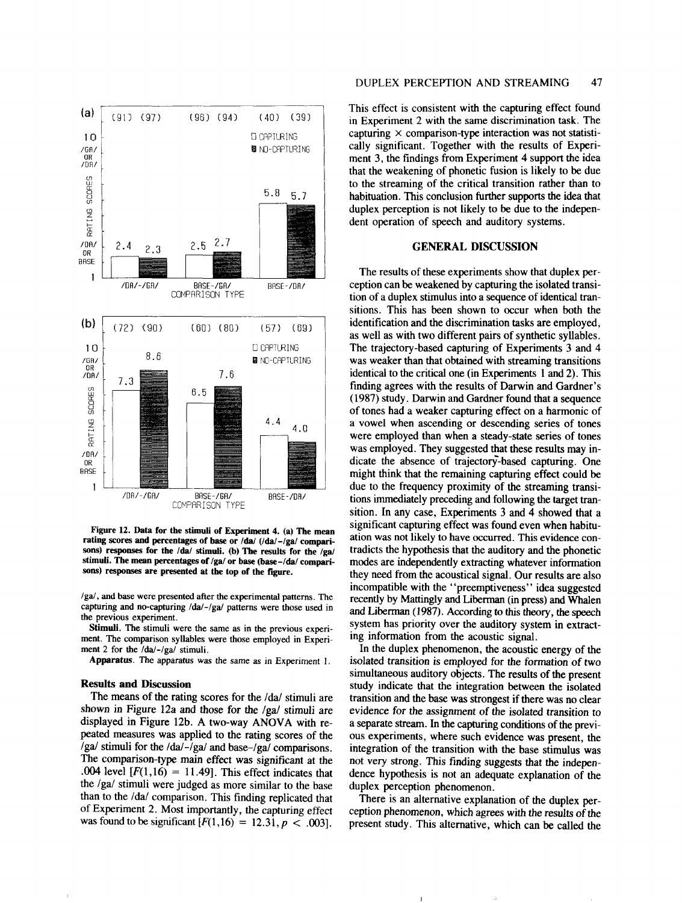

Figure 12. Data **for the stimuli of Experiment** 4. (a) The mean rating scores and percentages of base or /da/ (/da/-/ga/ comparisons) **responses for the** /da/ stimuli. (b) The results **for the/ga/** stimuli. The mean percentages of /ga/ or base (base-/da/comparisons) responses are **presented at the top of the** figure.

/ga/, and base were presented after the experimental patterns. The capturing and no-capturing/da/-/gaJ patterns were those used in the previous experiment.

Stimuli. The stimuli were the same as in the previous experiment, The comparison syllables were those employed in Experiment 2 for the /da/-/ga/ stimuli.

Apparatus. The apparatus was the same as in Experiment 1.

## Results and Discussion

The means of the rating scores for the /da/ stimuli are shown in Figure 12a and those for the /ga/ stimuli are displayed in Figure 12b. A two-way ANOVA with repeated measures was applied to the rating scores of the /ga/ stimuli for the  $\frac{d\alpha}{-}\frac{q\alpha}{\alpha}$  and base-/ga/ comparisons. The comparison-type main effect was significant at the .004 level  $[F(1,16) = 11.49]$ . This effect indicates that the /ga/ stimuli were judged as more similar to the base than to the /da/ comparison. This finding replicated that of Experiment 2. Most importantly, the capturing effect was found to be significant  $[F(1,16) = 12.31, p < .003]$ .

This effect is consistent with the capturing effect found in Experiment 2 with the same discrimination task. The capturing  $\times$  comparison-type interaction was not statistically significant. Together with the results of Experiment 3, the findings from Experiment 4 support the idea that the weakening of phonetic fusion is likely to be due to the streaming of the critical transition rather than to habituation. This conclusion further supports the idea that duplex perception is not likely to be due to the independent operation of speech and auditory systems.

## **GENERAL DISCUSSION**

The results of these experiments show that duplex perception can be weakened by capturing the isolated transition of a duplex stimulus into a sequence of identical transitions. This has been shown to occur when both the identification and the discrimination tasks are employed, as well as with two different pairs of synthetic syllables. The trajectory-based capturing of Experiments 3 and 4 was weaker than that obtained with streaming transitions identical to the critical one (in Experiments 1 and 2). This finding agrees with the results of Darwin and Gardner's (1987) study. Darwin and Gardner found that a sequence of tones had a weaker capturing effect on a harmonic of a vowel when ascending or descending series of tones were employed than when a steady-state series of tones was employed. They suggested that these results may indicate the absence of trajectory-based capturing. One might think that the remaining capturing effect could be due to the frequency proximity of the streaming transitions immediately preceding and following the target transition. In any case, Experiments 3 and 4 showed that a significant capturing effect was found even when habituation was not likely to have occurred. This evidence contradicts the hypothesis that the auditory and the phonetic modes are independently extracting whatever information they need from the acoustical signal. Our results are also incompatible with the "preemptiveness" idea suggested recently by Mattingly and Liberman (in press) and Whalen and Liberman (1987). According to this theory, the speech system has priority over the auditory system in extracting information from the acoustic signal.

In the duplex phenomenon, the acoustic energy of the isolated transition is employed for the formation of two simultaneous auditory objects. The results of the present study indicate that the integration between the isolated transition and the base was strongest if there was no clear evidence for the assignment of the isolated transition to a separate stream. In the capturing conditions of the previous experiments, where such evidence was present, the integration of the transition with the base stimulus was not very strong. This finding suggests that the independence hypothesis is not an adequate explanation of the duplex perception phenomenon.

There is an alternative explanation of the duplex perception phenomenon, which agrees with the results of the present study. This alternative, which can be called the